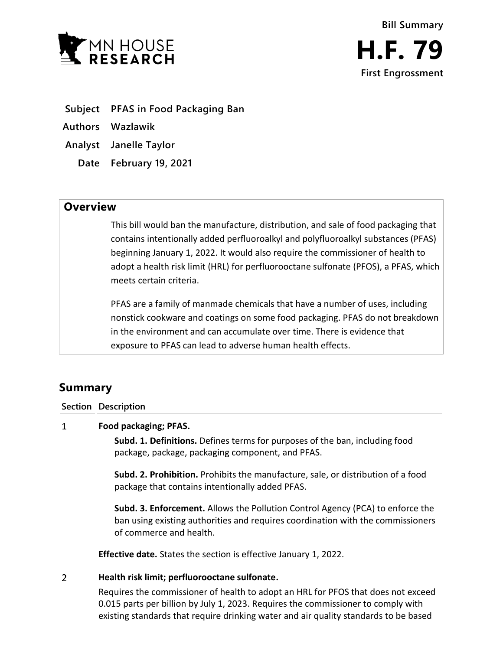

- **Subject PFAS in Food Packaging Ban**
- **Authors Wazlawik**
- **Analyst Janelle Taylor**
	- **Date February 19, 2021**

## **Overview**

This bill would ban the manufacture, distribution, and sale of food packaging that contains intentionally added perfluoroalkyl and polyfluoroalkyl substances (PFAS) beginning January 1, 2022. It would also require the commissioner of health to adopt a health risk limit (HRL) for perfluorooctane sulfonate (PFOS), a PFAS, which meets certain criteria.

PFAS are a family of manmade chemicals that have a number of uses, including nonstick cookware and coatings on some food packaging. PFAS do not breakdown in the environment and can accumulate over time. There is evidence that exposure to PFAS can lead to adverse human health effects.

# **Summary**

**Section Description**

#### $\mathbf{1}$ **Food packaging; PFAS.**

**Subd. 1. Definitions.** Defines terms for purposes of the ban, including food package, package, packaging component, and PFAS.

**Subd. 2. Prohibition.** Prohibits the manufacture, sale, or distribution of a food package that contains intentionally added PFAS.

**Subd. 3. Enforcement.** Allows the Pollution Control Agency (PCA) to enforce the ban using existing authorities and requires coordination with the commissioners of commerce and health.

**Effective date.** States the section is effective January 1, 2022.

#### $\overline{2}$ **Health risk limit; perfluorooctane sulfonate.**

Requires the commissioner of health to adopt an HRL for PFOS that does not exceed 0.015 parts per billion by July 1, 2023. Requires the commissioner to comply with existing standards that require drinking water and air quality standards to be based